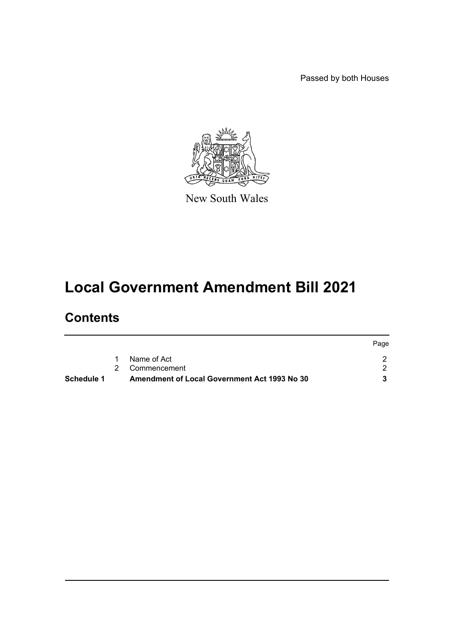Passed by both Houses



New South Wales

# **Local Government Amendment Bill 2021**

# **Contents**

| Schedule 1 | <b>Amendment of Local Government Act 1993 No 30</b> |      |
|------------|-----------------------------------------------------|------|
|            | 2 Commencement                                      |      |
|            | Name of Act                                         |      |
|            |                                                     | Page |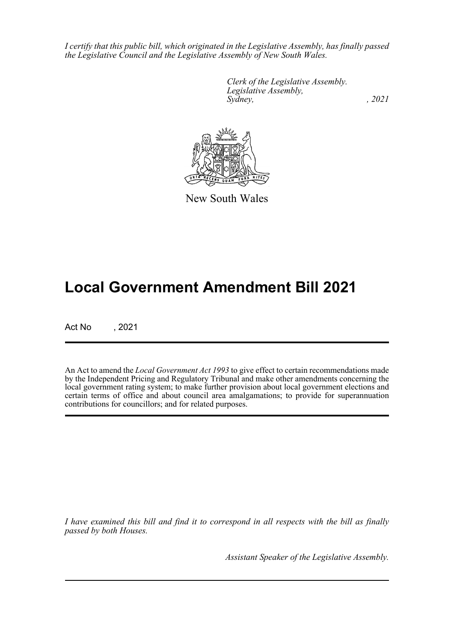*I certify that this public bill, which originated in the Legislative Assembly, has finally passed the Legislative Council and the Legislative Assembly of New South Wales.*

> *Clerk of the Legislative Assembly. Legislative Assembly, Sydney, , 2021*



New South Wales

# **Local Government Amendment Bill 2021**

Act No , 2021

An Act to amend the *Local Government Act 1993* to give effect to certain recommendations made by the Independent Pricing and Regulatory Tribunal and make other amendments concerning the local government rating system; to make further provision about local government elections and certain terms of office and about council area amalgamations; to provide for superannuation contributions for councillors; and for related purposes.

*I have examined this bill and find it to correspond in all respects with the bill as finally passed by both Houses.*

*Assistant Speaker of the Legislative Assembly.*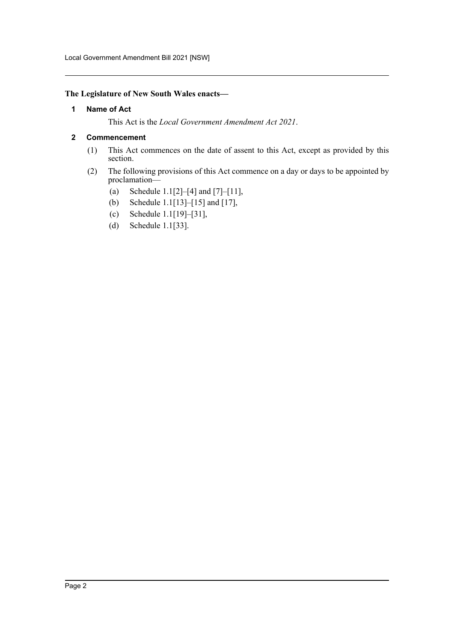Local Government Amendment Bill 2021 [NSW]

#### <span id="page-2-0"></span>**The Legislature of New South Wales enacts—**

#### **1 Name of Act**

This Act is the *Local Government Amendment Act 2021*.

#### <span id="page-2-1"></span>**2 Commencement**

- (1) This Act commences on the date of assent to this Act, except as provided by this section.
- (2) The following provisions of this Act commence on a day or days to be appointed by proclamation—
	- (a) Schedule 1.1[2]–[4] and [7]–[11],
	- (b) Schedule 1.1[13]–[15] and [17],
	- (c) Schedule 1.1[19]–[31],
	- (d) Schedule 1.1[33].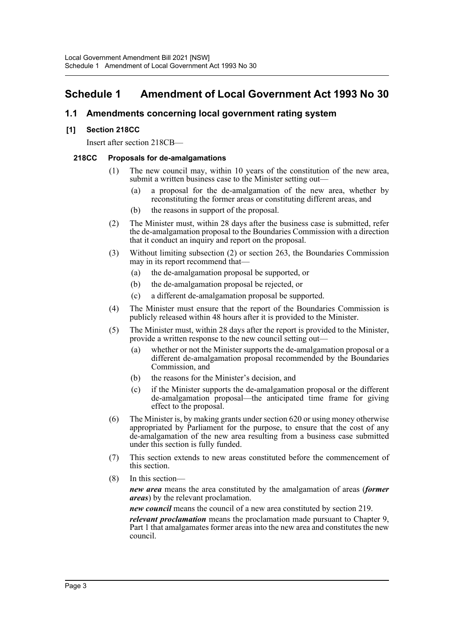# <span id="page-3-0"></span>**Schedule 1 Amendment of Local Government Act 1993 No 30**

# **1.1 Amendments concerning local government rating system**

# **[1] Section 218CC**

Insert after section 218CB—

#### **218CC Proposals for de-amalgamations**

- (1) The new council may, within 10 years of the constitution of the new area, submit a written business case to the Minister setting out—
	- (a) a proposal for the de-amalgamation of the new area, whether by reconstituting the former areas or constituting different areas, and
	- (b) the reasons in support of the proposal.
- (2) The Minister must, within 28 days after the business case is submitted, refer the de-amalgamation proposal to the Boundaries Commission with a direction that it conduct an inquiry and report on the proposal.
- (3) Without limiting subsection (2) or section 263, the Boundaries Commission may in its report recommend that—
	- (a) the de-amalgamation proposal be supported, or
	- (b) the de-amalgamation proposal be rejected, or
	- (c) a different de-amalgamation proposal be supported.
- (4) The Minister must ensure that the report of the Boundaries Commission is publicly released within 48 hours after it is provided to the Minister.
- (5) The Minister must, within 28 days after the report is provided to the Minister, provide a written response to the new council setting out—
	- (a) whether or not the Minister supports the de-amalgamation proposal or a different de-amalgamation proposal recommended by the Boundaries Commission, and
	- (b) the reasons for the Minister's decision, and
	- (c) if the Minister supports the de-amalgamation proposal or the different de-amalgamation proposal—the anticipated time frame for giving effect to the proposal.
- (6) The Minister is, by making grants under section 620 or using money otherwise appropriated by Parliament for the purpose, to ensure that the cost of any de-amalgamation of the new area resulting from a business case submitted under this section is fully funded.
- (7) This section extends to new areas constituted before the commencement of this section.
- (8) In this section—

*new area* means the area constituted by the amalgamation of areas (*former areas*) by the relevant proclamation.

*new council* means the council of a new area constituted by section 219.

*relevant proclamation* means the proclamation made pursuant to Chapter 9, Part 1 that amalgamates former areas into the new area and constitutes the new council.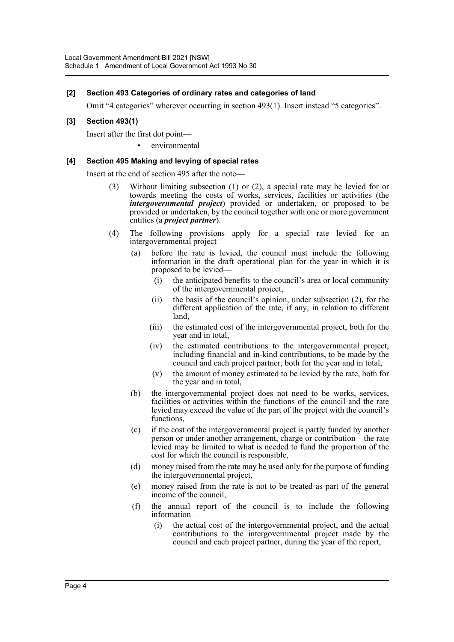#### **[2] Section 493 Categories of ordinary rates and categories of land**

Omit "4 categories" wherever occurring in section 493(1). Insert instead "5 categories".

### **[3] Section 493(1)**

Insert after the first dot point—

environmental

#### **[4] Section 495 Making and levying of special rates**

Insert at the end of section 495 after the note—

- (3) Without limiting subsection (1) or (2), a special rate may be levied for or towards meeting the costs of works, services, facilities or activities (the *intergovernmental project*) provided or undertaken, or proposed to be provided or undertaken, by the council together with one or more government entities (a *project partner*).
- (4) The following provisions apply for a special rate levied for an intergovernmental project—
	- (a) before the rate is levied, the council must include the following information in the draft operational plan for the year in which it is proposed to be levied—
		- (i) the anticipated benefits to the council's area or local community of the intergovernmental project,
		- (ii) the basis of the council's opinion, under subsection (2), for the different application of the rate, if any, in relation to different land,
		- (iii) the estimated cost of the intergovernmental project, both for the year and in total,
		- (iv) the estimated contributions to the intergovernmental project, including financial and in-kind contributions, to be made by the council and each project partner, both for the year and in total,
		- (v) the amount of money estimated to be levied by the rate, both for the year and in total,
	- (b) the intergovernmental project does not need to be works, services, facilities or activities within the functions of the council and the rate levied may exceed the value of the part of the project with the council's functions,
	- (c) if the cost of the intergovernmental project is partly funded by another person or under another arrangement, charge or contribution—the rate levied may be limited to what is needed to fund the proportion of the cost for which the council is responsible,
	- (d) money raised from the rate may be used only for the purpose of funding the intergovernmental project,
	- (e) money raised from the rate is not to be treated as part of the general income of the council,
	- (f) the annual report of the council is to include the following information—
		- (i) the actual cost of the intergovernmental project, and the actual contributions to the intergovernmental project made by the council and each project partner, during the year of the report,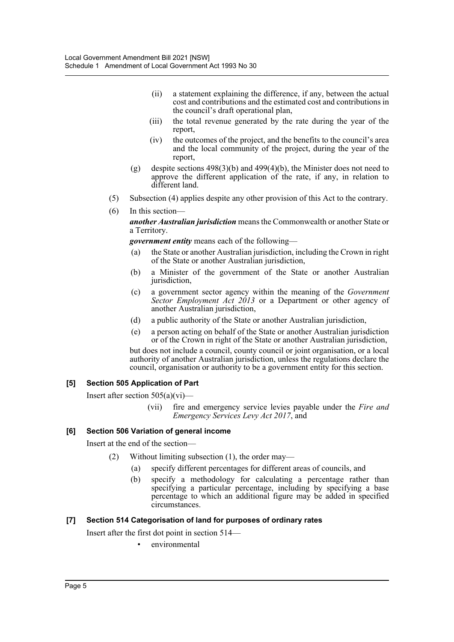- (ii) a statement explaining the difference, if any, between the actual cost and contributions and the estimated cost and contributions in the council's draft operational plan,
- (iii) the total revenue generated by the rate during the year of the report,
- (iv) the outcomes of the project, and the benefits to the council's area and the local community of the project, during the year of the report,
- (g) despite sections  $498(3)(b)$  and  $499(4)(b)$ , the Minister does not need to approve the different application of the rate, if any, in relation to different land.
- (5) Subsection (4) applies despite any other provision of this Act to the contrary.
- (6) In this section—

*another Australian jurisdiction* means the Commonwealth or another State or a Territory.

*government entity* means each of the following—

- (a) the State or another Australian jurisdiction, including the Crown in right of the State or another Australian jurisdiction,
- (b) a Minister of the government of the State or another Australian jurisdiction.
- (c) a government sector agency within the meaning of the *Government Sector Employment Act 2013* or a Department or other agency of another Australian jurisdiction,
- (d) a public authority of the State or another Australian jurisdiction,
- (e) a person acting on behalf of the State or another Australian jurisdiction or of the Crown in right of the State or another Australian jurisdiction,

but does not include a council, county council or joint organisation, or a local authority of another Australian jurisdiction, unless the regulations declare the council, organisation or authority to be a government entity for this section.

# **[5] Section 505 Application of Part**

Insert after section 505(a)(vi)—

(vii) fire and emergency service levies payable under the *Fire and Emergency Services Levy Act 2017*, and

# **[6] Section 506 Variation of general income**

Insert at the end of the section—

- (2) Without limiting subsection (1), the order may—
	- (a) specify different percentages for different areas of councils, and
	- (b) specify a methodology for calculating a percentage rather than specifying a particular percentage, including by specifying a base percentage to which an additional figure may be added in specified circumstances.

# **[7] Section 514 Categorisation of land for purposes of ordinary rates**

Insert after the first dot point in section 514—

• environmental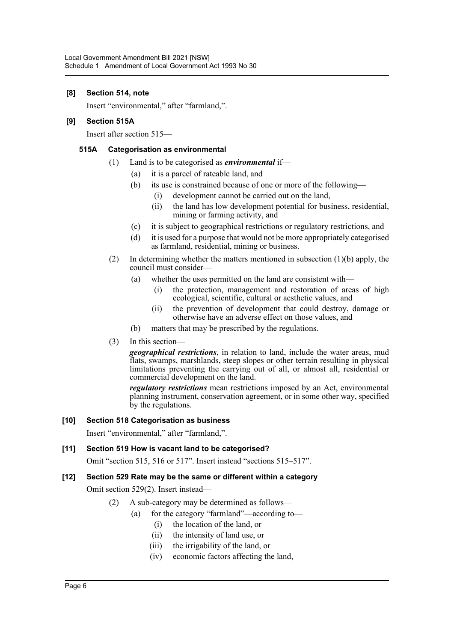#### **[8] Section 514, note**

Insert "environmental," after "farmland,".

#### **[9] Section 515A**

Insert after section 515—

#### **515A Categorisation as environmental**

- (1) Land is to be categorised as *environmental* if—
	- (a) it is a parcel of rateable land, and
	- (b) its use is constrained because of one or more of the following—
		- (i) development cannot be carried out on the land,
		- (ii) the land has low development potential for business, residential, mining or farming activity, and
	- (c) it is subject to geographical restrictions or regulatory restrictions, and
	- (d) it is used for a purpose that would not be more appropriately categorised as farmland, residential, mining or business.
- (2) In determining whether the matters mentioned in subsection  $(1)(b)$  apply, the council must consider—
	- (a) whether the uses permitted on the land are consistent with—
		- (i) the protection, management and restoration of areas of high ecological, scientific, cultural or aesthetic values, and
		- (ii) the prevention of development that could destroy, damage or otherwise have an adverse effect on those values, and
	- (b) matters that may be prescribed by the regulations.
- (3) In this section—

*geographical restrictions*, in relation to land, include the water areas, mud flats, swamps, marshlands, steep slopes or other terrain resulting in physical limitations preventing the carrying out of all, or almost all, residential or commercial development on the land.

*regulatory restrictions* mean restrictions imposed by an Act, environmental planning instrument, conservation agreement, or in some other way, specified by the regulations.

#### **[10] Section 518 Categorisation as business**

Insert "environmental," after "farmland,".

# **[11] Section 519 How is vacant land to be categorised?**

Omit "section 515, 516 or 517". Insert instead "sections 515–517".

# **[12] Section 529 Rate may be the same or different within a category**

Omit section 529(2). Insert instead—

- (2) A sub-category may be determined as follows—
	- (a) for the category "farmland"—according to—
		- (i) the location of the land, or
		- (ii) the intensity of land use, or
		- (iii) the irrigability of the land, or
		- (iv) economic factors affecting the land,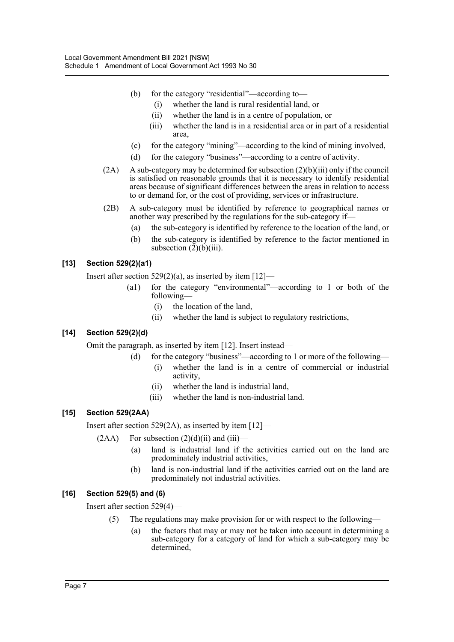- (b) for the category "residential"—according to—
	- (i) whether the land is rural residential land, or
	- (ii) whether the land is in a centre of population, or
	- (iii) whether the land is in a residential area or in part of a residential area,
- (c) for the category "mining"—according to the kind of mining involved,
- (d) for the category "business"—according to a centre of activity.
- $(2A)$  A sub-category may be determined for subsection  $(2)(b)(iii)$  only if the council is satisfied on reasonable grounds that it is necessary to identify residential areas because of significant differences between the areas in relation to access to or demand for, or the cost of providing, services or infrastructure.
- (2B) A sub-category must be identified by reference to geographical names or another way prescribed by the regulations for the sub-category if—
	- (a) the sub-category is identified by reference to the location of the land, or
	- (b) the sub-category is identified by reference to the factor mentioned in subsection  $(2)(b)(iii)$ .

# **[13] Section 529(2)(a1)**

Insert after section  $529(2)(a)$ , as inserted by item  $[12]$ —

- (a1) for the category "environmental"—according to 1 or both of the following—
	- (i) the location of the land,
	- (ii) whether the land is subject to regulatory restrictions,

# **[14] Section 529(2)(d)**

Omit the paragraph, as inserted by item [12]. Insert instead—

- (d) for the category "business"—according to 1 or more of the following—
	- (i) whether the land is in a centre of commercial or industrial activity,
	- (ii) whether the land is industrial land,
	- (iii) whether the land is non-industrial land.

# **[15] Section 529(2AA)**

Insert after section 529(2A), as inserted by item [12]—

- $(2AA)$  For subsection  $(2)(d)(ii)$  and  $(iii)$ 
	- (a) land is industrial land if the activities carried out on the land are predominately industrial activities,
	- (b) land is non-industrial land if the activities carried out on the land are predominately not industrial activities.

# **[16] Section 529(5) and (6)**

Insert after section 529(4)—

- (5) The regulations may make provision for or with respect to the following—
	- (a) the factors that may or may not be taken into account in determining a sub-category for a category of land for which a sub-category may be determined,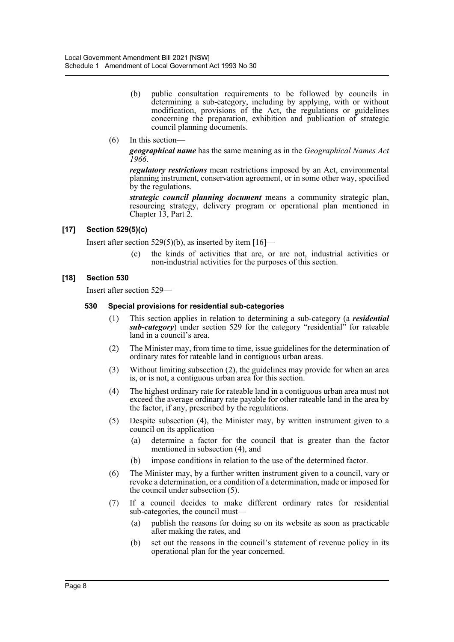- (b) public consultation requirements to be followed by councils in determining a sub-category, including by applying, with or without modification, provisions of the Act, the regulations or guidelines concerning the preparation, exhibition and publication of strategic council planning documents.
- (6) In this section—

*geographical name* has the same meaning as in the *Geographical Names Act 1966*.

*regulatory restrictions* mean restrictions imposed by an Act, environmental planning instrument, conservation agreement, or in some other way, specified by the regulations.

*strategic council planning document* means a community strategic plan, resourcing strategy, delivery program or operational plan mentioned in Chapter 13, Part 2.

#### **[17] Section 529(5)(c)**

Insert after section 529(5)(b), as inserted by item  $[16]$ —

(c) the kinds of activities that are, or are not, industrial activities or non-industrial activities for the purposes of this section.

#### **[18] Section 530**

Insert after section 529—

#### **530 Special provisions for residential sub-categories**

- (1) This section applies in relation to determining a sub-category (a *residential sub-category*) under section 529 for the category "residential" for rateable land in a council's area.
- (2) The Minister may, from time to time, issue guidelines for the determination of ordinary rates for rateable land in contiguous urban areas.
- (3) Without limiting subsection (2), the guidelines may provide for when an area is, or is not, a contiguous urban area for this section.
- (4) The highest ordinary rate for rateable land in a contiguous urban area must not exceed the average ordinary rate payable for other rateable land in the area by the factor, if any, prescribed by the regulations.
- (5) Despite subsection (4), the Minister may, by written instrument given to a council on its application—
	- (a) determine a factor for the council that is greater than the factor mentioned in subsection (4), and
	- (b) impose conditions in relation to the use of the determined factor.
- (6) The Minister may, by a further written instrument given to a council, vary or revoke a determination, or a condition of a determination, made or imposed for the council under subsection (5).
- (7) If a council decides to make different ordinary rates for residential sub-categories, the council must—
	- (a) publish the reasons for doing so on its website as soon as practicable after making the rates, and
	- (b) set out the reasons in the council's statement of revenue policy in its operational plan for the year concerned.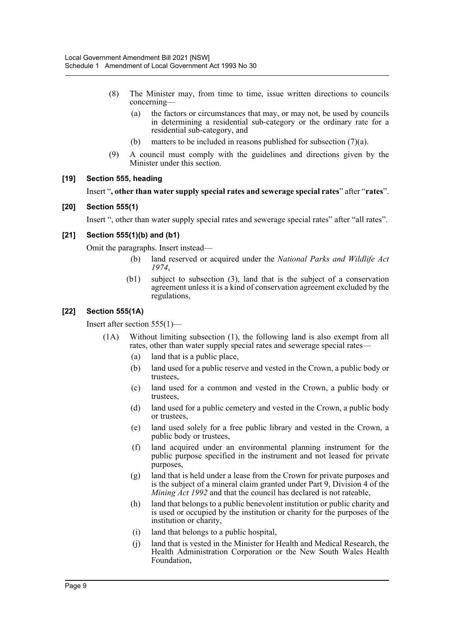- (8) The Minister may, from time to time, issue written directions to councils concerning—
	- (a) the factors or circumstances that may, or may not, be used by councils in determining a residential sub-category or the ordinary rate for a residential sub-category, and
	- (b) matters to be included in reasons published for subsection  $(7)(a)$ .
- (9) A council must comply with the guidelines and directions given by the Minister under this section.

#### **[19] Section 555, heading**

#### Insert "**, other than water supply special rates and sewerage special rates**" after "**rates**".

#### **[20] Section 555(1)**

Insert ", other than water supply special rates and sewerage special rates" after "all rates".

#### **[21] Section 555(1)(b) and (b1)**

Omit the paragraphs. Insert instead—

- (b) land reserved or acquired under the *National Parks and Wildlife Act 1974*,
- (b1) subject to subsection (3), land that is the subject of a conservation agreement unless it is a kind of conservation agreement excluded by the regulations,

#### **[22] Section 555(1A)**

Insert after section 555(1)—

- (1A) Without limiting subsection (1), the following land is also exempt from all rates, other than water supply special rates and sewerage special rates—
	- (a) land that is a public place,
	- (b) land used for a public reserve and vested in the Crown, a public body or trustees,
	- (c) land used for a common and vested in the Crown, a public body or trustees,
	- (d) land used for a public cemetery and vested in the Crown, a public body or trustees,
	- (e) land used solely for a free public library and vested in the Crown, a public body or trustees,
	- (f) land acquired under an environmental planning instrument for the public purpose specified in the instrument and not leased for private purposes,
	- (g) land that is held under a lease from the Crown for private purposes and is the subject of a mineral claim granted under Part 9, Division 4 of the *Mining Act 1992* and that the council has declared is not rateable,
	- (h) land that belongs to a public benevolent institution or public charity and is used or occupied by the institution or charity for the purposes of the institution or charity,
	- (i) land that belongs to a public hospital,
	- (j) land that is vested in the Minister for Health and Medical Research, the Health Administration Corporation or the New South Wales Health Foundation,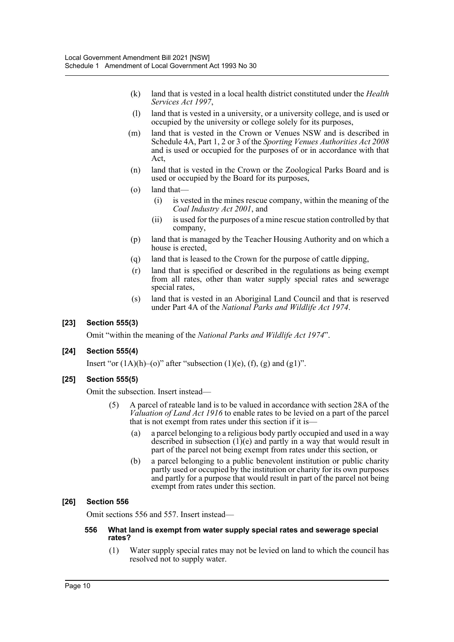- (k) land that is vested in a local health district constituted under the *Health Services Act 1997*,
- (l) land that is vested in a university, or a university college, and is used or occupied by the university or college solely for its purposes,
- (m) land that is vested in the Crown or Venues NSW and is described in Schedule 4A, Part 1, 2 or 3 of the *Sporting Venues Authorities Act 2008* and is used or occupied for the purposes of or in accordance with that Act,
- (n) land that is vested in the Crown or the Zoological Parks Board and is used or occupied by the Board for its purposes,
- (o) land that—
	- (i) is vested in the mines rescue company, within the meaning of the *Coal Industry Act 2001*, and
	- (ii) is used for the purposes of a mine rescue station controlled by that company,
- (p) land that is managed by the Teacher Housing Authority and on which a house is erected,
- (q) land that is leased to the Crown for the purpose of cattle dipping,
- (r) land that is specified or described in the regulations as being exempt from all rates, other than water supply special rates and sewerage special rates,
- (s) land that is vested in an Aboriginal Land Council and that is reserved under Part 4A of the *National Parks and Wildlife Act 1974*.

# **[23] Section 555(3)**

Omit "within the meaning of the *National Parks and Wildlife Act 1974*".

#### **[24] Section 555(4)**

Insert "or  $(1A)(h)$ –(o)" after "subsection  $(1)(e)$ ,  $(f)$ ,  $(g)$  and  $(g1)$ ".

#### **[25] Section 555(5)**

Omit the subsection. Insert instead—

- (5) A parcel of rateable land is to be valued in accordance with section 28A of the *Valuation of Land Act 1916* to enable rates to be levied on a part of the parcel that is not exempt from rates under this section if it is—
	- (a) a parcel belonging to a religious body partly occupied and used in a way described in subsection  $(1)(e)$  and partly in a way that would result in part of the parcel not being exempt from rates under this section, or
	- (b) a parcel belonging to a public benevolent institution or public charity partly used or occupied by the institution or charity for its own purposes and partly for a purpose that would result in part of the parcel not being exempt from rates under this section.

#### **[26] Section 556**

Omit sections 556 and 557. Insert instead—

#### **556 What land is exempt from water supply special rates and sewerage special rates?**

(1) Water supply special rates may not be levied on land to which the council has resolved not to supply water.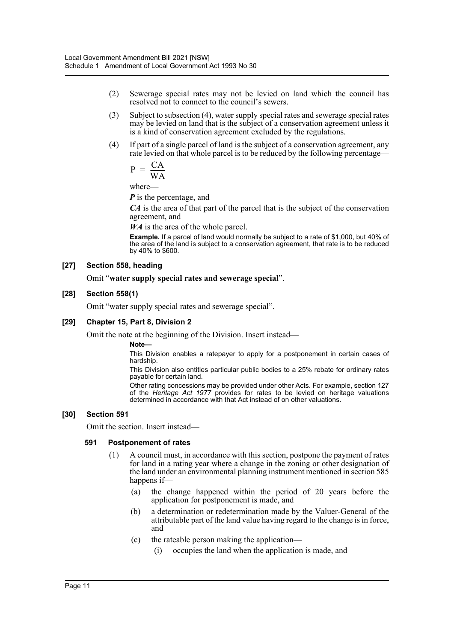- (2) Sewerage special rates may not be levied on land which the council has resolved not to connect to the council's sewers.
- (3) Subject to subsection (4), water supply special rates and sewerage special rates may be levied on land that is the subject of a conservation agreement unless it is a kind of conservation agreement excluded by the regulations.
- (4) If part of a single parcel of land is the subject of a conservation agreement, any rate levied on that whole parcel is to be reduced by the following percentage—

$$
P = \frac{CA}{WA}
$$

where—

*P* is the percentage, and

*CA* is the area of that part of the parcel that is the subject of the conservation agreement, and

*WA* is the area of the whole parcel.

**Example.** If a parcel of land would normally be subject to a rate of \$1,000, but 40% of the area of the land is subject to a conservation agreement, that rate is to be reduced by 40% to \$600.

#### **[27] Section 558, heading**

#### Omit "**water supply special rates and sewerage special**".

#### **[28] Section 558(1)**

Omit "water supply special rates and sewerage special".

#### **[29] Chapter 15, Part 8, Division 2**

Omit the note at the beginning of the Division. Insert instead—

#### **Note—**

This Division enables a ratepayer to apply for a postponement in certain cases of hardship.

This Division also entitles particular public bodies to a 25% rebate for ordinary rates payable for certain land.

Other rating concessions may be provided under other Acts. For example, section 127 of the *Heritage Act 1977* provides for rates to be levied on heritage valuations determined in accordance with that Act instead of on other valuations.

#### **[30] Section 591**

Omit the section. Insert instead—

#### **591 Postponement of rates**

- (1) A council must, in accordance with this section, postpone the payment of rates for land in a rating year where a change in the zoning or other designation of the land under an environmental planning instrument mentioned in section 585 happens if—
	- (a) the change happened within the period of 20 years before the application for postponement is made, and
	- (b) a determination or redetermination made by the Valuer-General of the attributable part of the land value having regard to the change is in force, and
	- (c) the rateable person making the application—
		- (i) occupies the land when the application is made, and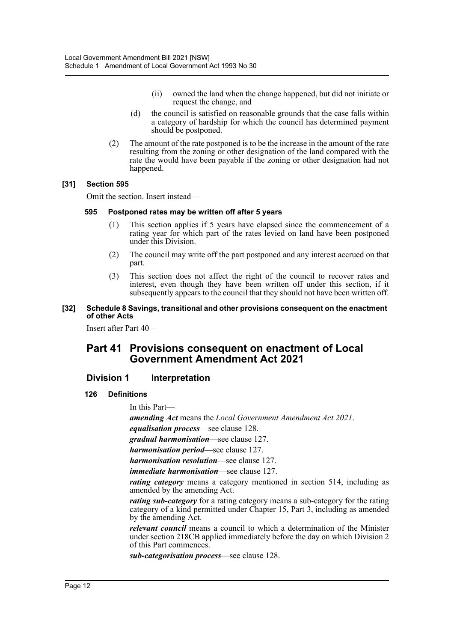- (ii) owned the land when the change happened, but did not initiate or request the change, and
- (d) the council is satisfied on reasonable grounds that the case falls within a category of hardship for which the council has determined payment should be postponed.
- (2) The amount of the rate postponed is to be the increase in the amount of the rate resulting from the zoning or other designation of the land compared with the rate the would have been payable if the zoning or other designation had not happened.

#### **[31] Section 595**

Omit the section. Insert instead—

#### **595 Postponed rates may be written off after 5 years**

- (1) This section applies if 5 years have elapsed since the commencement of a rating year for which part of the rates levied on land have been postponed under this Division.
- (2) The council may write off the part postponed and any interest accrued on that part.
- (3) This section does not affect the right of the council to recover rates and interest, even though they have been written off under this section, if it subsequently appears to the council that they should not have been written off.

#### **[32] Schedule 8 Savings, transitional and other provisions consequent on the enactment of other Acts**

Insert after Part 40—

# **Part 41 Provisions consequent on enactment of Local Government Amendment Act 2021**

# **Division 1 Interpretation**

**126 Definitions**

In this Part—

*amending Act* means the *Local Government Amendment Act 2021*. *equalisation process*—see clause 128. *gradual harmonisation*—see clause 127. *harmonisation period*—see clause 127. *harmonisation resolution*—see clause 127. *immediate harmonisation*—see clause 127.

*rating category* means a category mentioned in section 514, including as amended by the amending Act.

*rating sub-category* for a rating category means a sub-category for the rating category of a kind permitted under Chapter 15, Part 3, including as amended by the amending Act.

*relevant council* means a council to which a determination of the Minister under section 218CB applied immediately before the day on which Division 2 of this Part commences.

*sub-categorisation process*—see clause 128.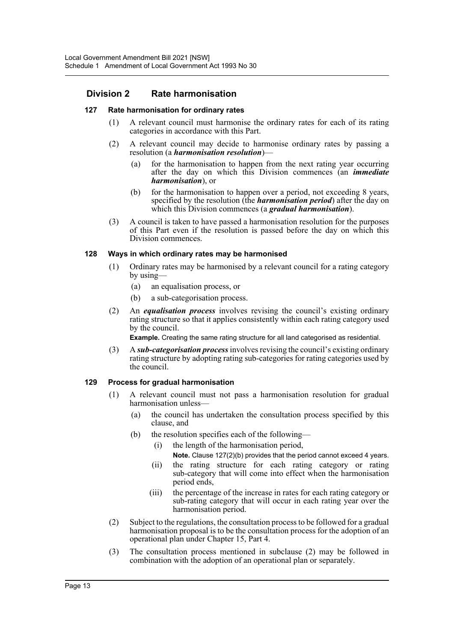# **Division 2 Rate harmonisation**

#### **127 Rate harmonisation for ordinary rates**

- (1) A relevant council must harmonise the ordinary rates for each of its rating categories in accordance with this Part.
- (2) A relevant council may decide to harmonise ordinary rates by passing a resolution (a *harmonisation resolution*)—
	- (a) for the harmonisation to happen from the next rating year occurring after the day on which this Division commences (an *immediate harmonisation*), or
	- (b) for the harmonisation to happen over a period, not exceeding 8 years, specified by the resolution (the *harmonisation period*) after the day on which this Division commences (a *gradual harmonisation*).
- (3) A council is taken to have passed a harmonisation resolution for the purposes of this Part even if the resolution is passed before the day on which this Division commences.

#### **128 Ways in which ordinary rates may be harmonised**

- (1) Ordinary rates may be harmonised by a relevant council for a rating category by using—
	- (a) an equalisation process, or
	- (b) a sub-categorisation process.
- (2) An *equalisation process* involves revising the council's existing ordinary rating structure so that it applies consistently within each rating category used by the council.

**Example.** Creating the same rating structure for all land categorised as residential.

(3) A *sub-categorisation process* involves revising the council's existing ordinary rating structure by adopting rating sub-categories for rating categories used by the council.

#### **129 Process for gradual harmonisation**

- (1) A relevant council must not pass a harmonisation resolution for gradual harmonisation unless—
	- (a) the council has undertaken the consultation process specified by this clause, and
	- (b) the resolution specifies each of the following—
		- (i) the length of the harmonisation period,
			- **Note.** Clause 127(2)(b) provides that the period cannot exceed 4 years.
		- (ii) the rating structure for each rating category or rating sub-category that will come into effect when the harmonisation period ends,
		- (iii) the percentage of the increase in rates for each rating category or sub-rating category that will occur in each rating year over the harmonisation period.
- (2) Subject to the regulations, the consultation process to be followed for a gradual harmonisation proposal is to be the consultation process for the adoption of an operational plan under Chapter 15, Part 4.
- (3) The consultation process mentioned in subclause (2) may be followed in combination with the adoption of an operational plan or separately.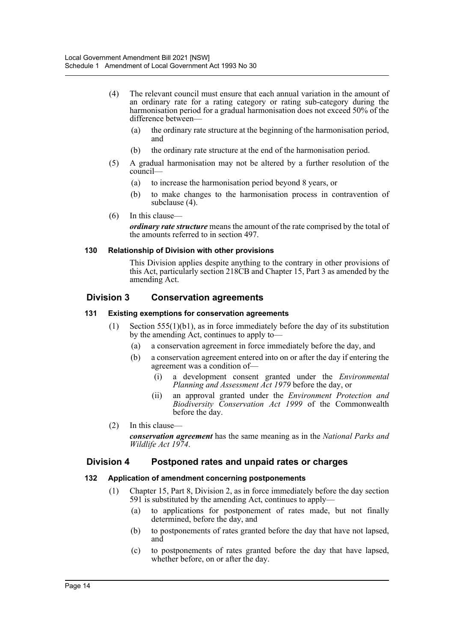- (4) The relevant council must ensure that each annual variation in the amount of an ordinary rate for a rating category or rating sub-category during the harmonisation period for a gradual harmonisation does not exceed 50% of the difference between—
	- (a) the ordinary rate structure at the beginning of the harmonisation period, and
	- (b) the ordinary rate structure at the end of the harmonisation period.
- (5) A gradual harmonisation may not be altered by a further resolution of the council—
	- (a) to increase the harmonisation period beyond 8 years, or
	- (b) to make changes to the harmonisation process in contravention of subclause (4).
- (6) In this clause—

*ordinary rate structure* means the amount of the rate comprised by the total of the amounts referred to in section 497.

#### **130 Relationship of Division with other provisions**

This Division applies despite anything to the contrary in other provisions of this Act, particularly section 218CB and Chapter 15, Part 3 as amended by the amending Act.

# **Division 3 Conservation agreements**

#### **131 Existing exemptions for conservation agreements**

- (1) Section 555(1)(b1), as in force immediately before the day of its substitution by the amending Act, continues to apply to—
	- (a) a conservation agreement in force immediately before the day, and
	- (b) a conservation agreement entered into on or after the day if entering the agreement was a condition of—
		- (i) a development consent granted under the *Environmental Planning and Assessment Act 1979* before the day, or
		- (ii) an approval granted under the *Environment Protection and Biodiversity Conservation Act 1999* of the Commonwealth before the day.
- (2) In this clause *conservation agreement* has the same meaning as in the *National Parks and Wildlife Act 1974*.

# **Division 4 Postponed rates and unpaid rates or charges**

#### **132 Application of amendment concerning postponements**

- (1) Chapter 15, Part 8, Division 2, as in force immediately before the day section 591 is substituted by the amending Act, continues to apply—
	- (a) to applications for postponement of rates made, but not finally determined, before the day, and
	- (b) to postponements of rates granted before the day that have not lapsed, and
	- (c) to postponements of rates granted before the day that have lapsed, whether before, on or after the day.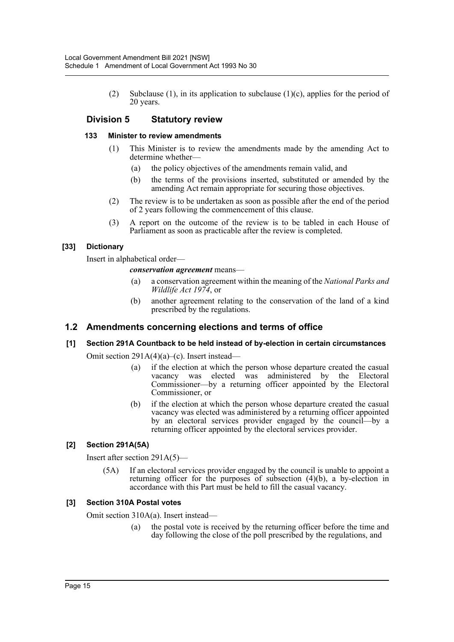(2) Subclause (1), in its application to subclause (1)(c), applies for the period of 20 years.

# **Division 5 Statutory review**

#### **133 Minister to review amendments**

- (1) This Minister is to review the amendments made by the amending Act to determine whether—
	- (a) the policy objectives of the amendments remain valid, and
	- (b) the terms of the provisions inserted, substituted or amended by the amending Act remain appropriate for securing those objectives.
- (2) The review is to be undertaken as soon as possible after the end of the period of 2 years following the commencement of this clause.
- (3) A report on the outcome of the review is to be tabled in each House of Parliament as soon as practicable after the review is completed.

# **[33] Dictionary**

Insert in alphabetical order—

#### *conservation agreement* means—

- (a) a conservation agreement within the meaning of the *National Parks and Wildlife Act 1974*, or
- (b) another agreement relating to the conservation of the land of a kind prescribed by the regulations.

# **1.2 Amendments concerning elections and terms of office**

# **[1] Section 291A Countback to be held instead of by-election in certain circumstances**

Omit section 291A(4)(a)–(c). Insert instead—

- (a) if the election at which the person whose departure created the casual vacancy was elected was administered by the Electoral Commissioner—by a returning officer appointed by the Electoral Commissioner, or
- (b) if the election at which the person whose departure created the casual vacancy was elected was administered by a returning officer appointed by an electoral services provider engaged by the council—by a returning officer appointed by the electoral services provider.

# **[2] Section 291A(5A)**

Insert after section 291A(5)—

(5A) If an electoral services provider engaged by the council is unable to appoint a returning officer for the purposes of subsection (4)(b), a by-election in accordance with this Part must be held to fill the casual vacancy.

#### **[3] Section 310A Postal votes**

Omit section 310A(a). Insert instead—

(a) the postal vote is received by the returning officer before the time and day following the close of the poll prescribed by the regulations, and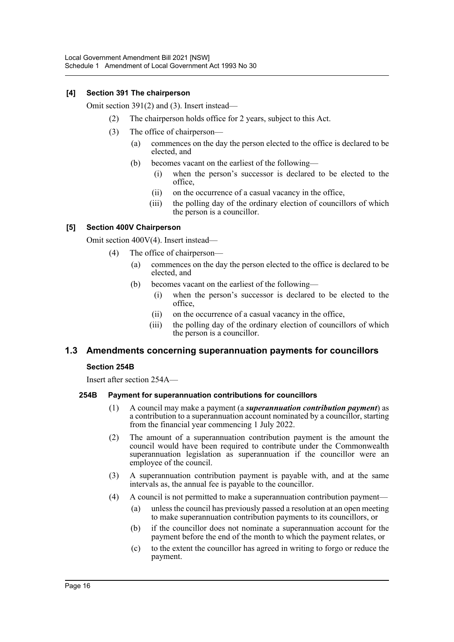### **[4] Section 391 The chairperson**

Omit section 391(2) and (3). Insert instead—

- (2) The chairperson holds office for 2 years, subject to this Act.
- (3) The office of chairperson—
	- (a) commences on the day the person elected to the office is declared to be elected, and
		- (b) becomes vacant on the earliest of the following—
			- (i) when the person's successor is declared to be elected to the office,
			- (ii) on the occurrence of a casual vacancy in the office,
			- (iii) the polling day of the ordinary election of councillors of which the person is a councillor.

#### **[5] Section 400V Chairperson**

Omit section 400V(4). Insert instead—

- (4) The office of chairperson—
	- (a) commences on the day the person elected to the office is declared to be elected, and
	- (b) becomes vacant on the earliest of the following—
		- (i) when the person's successor is declared to be elected to the office,
		- (ii) on the occurrence of a casual vacancy in the office,
		- (iii) the polling day of the ordinary election of councillors of which the person is a councillor.

# **1.3 Amendments concerning superannuation payments for councillors**

#### **Section 254B**

Insert after section 254A—

# **254B Payment for superannuation contributions for councillors**

- (1) A council may make a payment (a *superannuation contribution payment*) as a contribution to a superannuation account nominated by a councillor, starting from the financial year commencing 1 July 2022.
- (2) The amount of a superannuation contribution payment is the amount the council would have been required to contribute under the Commonwealth superannuation legislation as superannuation if the councillor were an employee of the council.
- (3) A superannuation contribution payment is payable with, and at the same intervals as, the annual fee is payable to the councillor.
- (4) A council is not permitted to make a superannuation contribution payment—
	- (a) unless the council has previously passed a resolution at an open meeting to make superannuation contribution payments to its councillors, or
	- (b) if the councillor does not nominate a superannuation account for the payment before the end of the month to which the payment relates, or
	- (c) to the extent the councillor has agreed in writing to forgo or reduce the payment.